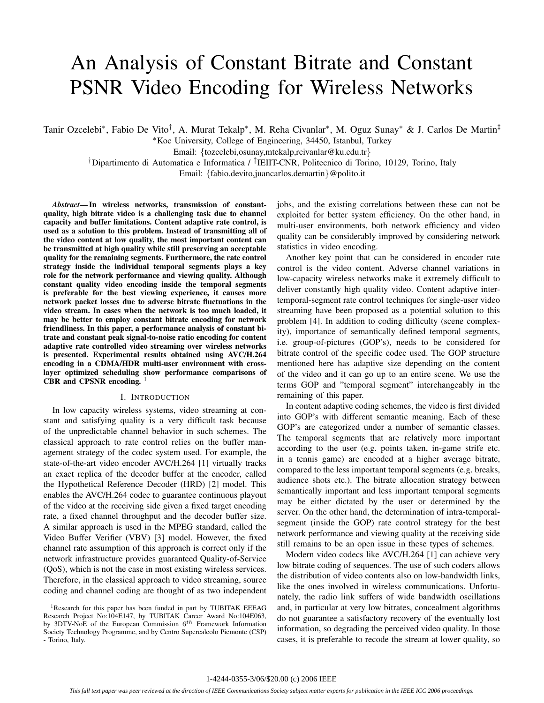# An Analysis of Constant Bitrate and Constant PSNR Video Encoding for Wireless Networks

Tanir Ozcelebi∗, Fabio De Vito†, A. Murat Tekalp∗, M. Reha Civanlar∗, M. Oguz Sunay∗ & J. Carlos De Martin‡

∗Koc University, College of Engineering, 34450, Istanbul, Turkey

Email: *{*tozcelebi,osunay,mtekalp,rcivanlar@ku.edu.tr*}*

†Dipartimento di Automatica e Informatica / ‡IEIIT-CNR, Politecnico di Torino, 10129, Torino, Italy Email: *{*fabio.devito,juancarlos.demartin*}*@polito.it

*Abstract***— In wireless networks, transmission of constantquality, high bitrate video is a challenging task due to channel capacity and buffer limitations. Content adaptive rate control, is used as a solution to this problem. Instead of transmitting all of the video content at low quality, the most important content can be transmitted at high quality while still preserving an acceptable quality for the remaining segments. Furthermore, the rate control strategy inside the individual temporal segments plays a key role for the network performance and viewing quality. Although constant quality video encoding inside the temporal segments is preferable for the best viewing experience, it causes more network packet losses due to adverse bitrate fluctuations in the video stream. In cases when the network is too much loaded, it may be better to employ constant bitrate encoding for network friendliness. In this paper, a performance analysis of constant bitrate and constant peak signal-to-noise ratio encoding for content adaptive rate controlled video streaming over wireless networks is presented. Experimental results obtained using AVC/H.264 encoding in a CDMA/HDR multi-user environment with crosslayer optimized scheduling show performance comparisons of** CBR and CPSNR encoding.

#### I. INTRODUCTION

In low capacity wireless systems, video streaming at constant and satisfying quality is a very difficult task because of the unpredictable channel behavior in such schemes. The classical approach to rate control relies on the buffer management strategy of the codec system used. For example, the state-of-the-art video encoder AVC/H.264 [1] virtually tracks an exact replica of the decoder buffer at the encoder, called the Hypothetical Reference Decoder (HRD) [2] model. This enables the AVC/H.264 codec to guarantee continuous playout of the video at the receiving side given a fixed target encoding rate, a fixed channel throughput and the decoder buffer size. A similar approach is used in the MPEG standard, called the Video Buffer Verifier (VBV) [3] model. However, the fixed channel rate assumption of this approach is correct only if the network infrastructure provides guaranteed Quality-of-Service (QoS), which is not the case in most existing wireless services. Therefore, in the classical approach to video streaming, source coding and channel coding are thought of as two independent jobs, and the existing correlations between these can not be exploited for better system efficiency. On the other hand, in multi-user environments, both network efficiency and video quality can be considerably improved by considering network statistics in video encoding.

Another key point that can be considered in encoder rate control is the video content. Adverse channel variations in low-capacity wireless networks make it extremely difficult to deliver constantly high quality video. Content adaptive intertemporal-segment rate control techniques for single-user video streaming have been proposed as a potential solution to this problem [4]. In addition to coding difficulty (scene complexity), importance of semantically defined temporal segments, i.e. group-of-pictures (GOP's), needs to be considered for bitrate control of the specific codec used. The GOP structure mentioned here has adaptive size depending on the content of the video and it can go up to an entire scene. We use the terms GOP and "temporal segment" interchangeably in the remaining of this paper.

In content adaptive coding schemes, the video is first divided into GOP's with different semantic meaning. Each of these GOP's are categorized under a number of semantic classes. The temporal segments that are relatively more important according to the user (e.g. points taken, in-game strife etc. in a tennis game) are encoded at a higher average bitrate, compared to the less important temporal segments (e.g. breaks, audience shots etc.). The bitrate allocation strategy between semantically important and less important temporal segments may be either dictated by the user or determined by the server. On the other hand, the determination of intra-temporalsegment (inside the GOP) rate control strategy for the best network performance and viewing quality at the receiving side still remains to be an open issue in these types of schemes.

Modern video codecs like AVC/H.264 [1] can achieve very low bitrate coding of sequences. The use of such coders allows the distribution of video contents also on low-bandwidth links, like the ones involved in wireless communications. Unfortunately, the radio link suffers of wide bandwidth oscillations and, in particular at very low bitrates, concealment algorithms do not guarantee a satisfactory recovery of the eventually lost information, so degrading the perceived video quality. In those cases, it is preferable to recode the stream at lower quality, so

<sup>&</sup>lt;sup>1</sup>Research for this paper has been funded in part by TUBITAK EEEAG Research Project No:104E147, by TUBITAK Career Award No:104E063, by 3DTV-NoE of the European Commission 6*th* Framework Information Society Technology Programme, and by Centro Supercalcolo Piemonte (CSP) - Torino, Italy.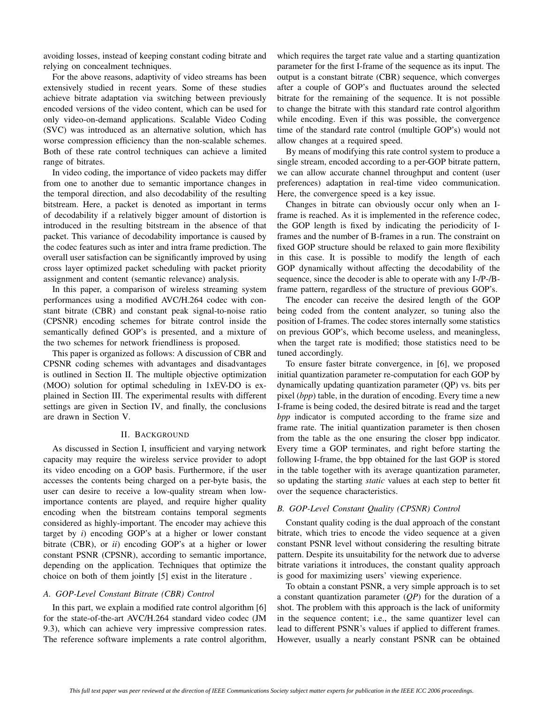avoiding losses, instead of keeping constant coding bitrate and relying on concealment techniques.

For the above reasons, adaptivity of video streams has been extensively studied in recent years. Some of these studies achieve bitrate adaptation via switching between previously encoded versions of the video content, which can be used for only video-on-demand applications. Scalable Video Coding (SVC) was introduced as an alternative solution, which has worse compression efficiency than the non-scalable schemes. Both of these rate control techniques can achieve a limited range of bitrates.

In video coding, the importance of video packets may differ from one to another due to semantic importance changes in the temporal direction, and also decodability of the resulting bitstream. Here, a packet is denoted as important in terms of decodability if a relatively bigger amount of distortion is introduced in the resulting bitstream in the absence of that packet. This variance of decodability importance is caused by the codec features such as inter and intra frame prediction. The overall user satisfaction can be significantly improved by using cross layer optimized packet scheduling with packet priority assignment and content (semantic relevance) analysis.

In this paper, a comparison of wireless streaming system performances using a modified AVC/H.264 codec with constant bitrate (CBR) and constant peak signal-to-noise ratio (CPSNR) encoding schemes for bitrate control inside the semantically defined GOP's is presented, and a mixture of the two schemes for network friendliness is proposed.

This paper is organized as follows: A discussion of CBR and CPSNR coding schemes with advantages and disadvantages is outlined in Section II. The multiple objective optimization (MOO) solution for optimal scheduling in 1xEV-DO is explained in Section III. The experimental results with different settings are given in Section IV, and finally, the conclusions are drawn in Section V.

# II. BACKGROUND

As discussed in Section I, insufficient and varying network capacity may require the wireless service provider to adopt its video encoding on a GOP basis. Furthermore, if the user accesses the contents being charged on a per-byte basis, the user can desire to receive a low-quality stream when lowimportance contents are played, and require higher quality encoding when the bitstream contains temporal segments considered as highly-important. The encoder may achieve this target by *i*) encoding GOP's at a higher or lower constant bitrate (CBR), or *ii*) encoding GOP's at a higher or lower constant PSNR (CPSNR), according to semantic importance, depending on the application. Techniques that optimize the choice on both of them jointly [5] exist in the literature .

## *A. GOP-Level Constant Bitrate (CBR) Control*

In this part, we explain a modified rate control algorithm [6] for the state-of-the-art AVC/H.264 standard video codec (JM 9.3), which can achieve very impressive compression rates. The reference software implements a rate control algorithm, which requires the target rate value and a starting quantization parameter for the first I-frame of the sequence as its input. The output is a constant bitrate (CBR) sequence, which converges after a couple of GOP's and fluctuates around the selected bitrate for the remaining of the sequence. It is not possible to change the bitrate with this standard rate control algorithm while encoding. Even if this was possible, the convergence time of the standard rate control (multiple GOP's) would not allow changes at a required speed.

By means of modifying this rate control system to produce a single stream, encoded according to a per-GOP bitrate pattern, we can allow accurate channel throughput and content (user preferences) adaptation in real-time video communication. Here, the convergence speed is a key issue.

Changes in bitrate can obviously occur only when an Iframe is reached. As it is implemented in the reference codec, the GOP length is fixed by indicating the periodicity of Iframes and the number of B-frames in a run. The constraint on fixed GOP structure should be relaxed to gain more flexibility in this case. It is possible to modify the length of each GOP dynamically without affecting the decodability of the sequence, since the decoder is able to operate with any I-/P-/Bframe pattern, regardless of the structure of previous GOP's.

The encoder can receive the desired length of the GOP being coded from the content analyzer, so tuning also the position of I-frames. The codec stores internally some statistics on previous GOP's, which become useless, and meaningless, when the target rate is modified; those statistics need to be tuned accordingly.

To ensure faster bitrate convergence, in [6], we proposed initial quantization parameter re-computation for each GOP by dynamically updating quantization parameter (QP) vs. bits per pixel (*bpp*) table, in the duration of encoding. Every time a new I-frame is being coded, the desired bitrate is read and the target *bpp* indicator is computed according to the frame size and frame rate. The initial quantization parameter is then chosen from the table as the one ensuring the closer bpp indicator. Every time a GOP terminates, and right before starting the following I-frame, the bpp obtained for the last GOP is stored in the table together with its average quantization parameter, so updating the starting *static* values at each step to better fit over the sequence characteristics.

## *B. GOP-Level Constant Quality (CPSNR) Control*

Constant quality coding is the dual approach of the constant bitrate, which tries to encode the video sequence at a given constant PSNR level without considering the resulting bitrate pattern. Despite its unsuitability for the network due to adverse bitrate variations it introduces, the constant quality approach is good for maximizing users' viewing experience.

To obtain a constant PSNR, a very simple approach is to set a constant quantization parameter (*QP*) for the duration of a shot. The problem with this approach is the lack of uniformity in the sequence content; i.e., the same quantizer level can lead to different PSNR's values if applied to different frames. However, usually a nearly constant PSNR can be obtained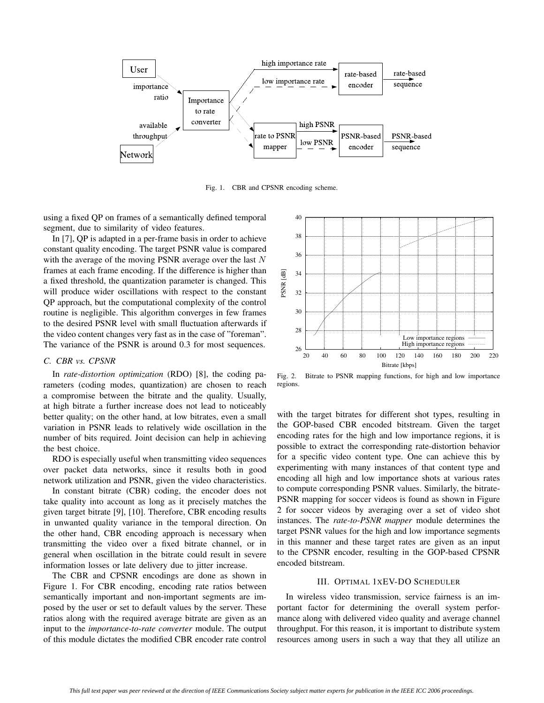

Fig. 1. CBR and CPSNR encoding scheme.

using a fixed QP on frames of a semantically defined temporal segment, due to similarity of video features.

In [7], QP is adapted in a per-frame basis in order to achieve constant quality encoding. The target PSNR value is compared with the average of the moving PSNR average over the last *N* frames at each frame encoding. If the difference is higher than a fixed threshold, the quantization parameter is changed. This will produce wider oscillations with respect to the constant QP approach, but the computational complexity of the control routine is negligible. This algorithm converges in few frames to the desired PSNR level with small fluctuation afterwards if the video content changes very fast as in the case of "foreman". The variance of the PSNR is around 0.3 for most sequences.

# *C. CBR vs. CPSNR*

In *rate-distortion optimization* (RDO) [8], the coding parameters (coding modes, quantization) are chosen to reach a compromise between the bitrate and the quality. Usually, at high bitrate a further increase does not lead to noticeably better quality; on the other hand, at low bitrates, even a small variation in PSNR leads to relatively wide oscillation in the number of bits required. Joint decision can help in achieving the best choice.

RDO is especially useful when transmitting video sequences over packet data networks, since it results both in good network utilization and PSNR, given the video characteristics.

In constant bitrate (CBR) coding, the encoder does not take quality into account as long as it precisely matches the given target bitrate [9], [10]. Therefore, CBR encoding results in unwanted quality variance in the temporal direction. On the other hand, CBR encoding approach is necessary when transmitting the video over a fixed bitrate channel, or in general when oscillation in the bitrate could result in severe information losses or late delivery due to jitter increase.

The CBR and CPSNR encodings are done as shown in Figure 1. For CBR encoding, encoding rate ratios between semantically important and non-important segments are imposed by the user or set to default values by the server. These ratios along with the required average bitrate are given as an input to the *importance-to-rate converter* module. The output of this module dictates the modified CBR encoder rate control



Fig. 2. Bitrate to PSNR mapping functions, for high and low importance regions.

with the target bitrates for different shot types, resulting in the GOP-based CBR encoded bitstream. Given the target encoding rates for the high and low importance regions, it is possible to extract the corresponding rate-distortion behavior for a specific video content type. One can achieve this by experimenting with many instances of that content type and encoding all high and low importance shots at various rates to compute corresponding PSNR values. Similarly, the bitrate-PSNR mapping for soccer videos is found as shown in Figure 2 for soccer videos by averaging over a set of video shot instances. The *rate-to-PSNR mapper* module determines the target PSNR values for the high and low importance segments in this manner and these target rates are given as an input to the CPSNR encoder, resulting in the GOP-based CPSNR encoded bitstream.

# III. OPTIMAL 1XEV-DO SCHEDULER

In wireless video transmission, service fairness is an important factor for determining the overall system performance along with delivered video quality and average channel throughput. For this reason, it is important to distribute system resources among users in such a way that they all utilize an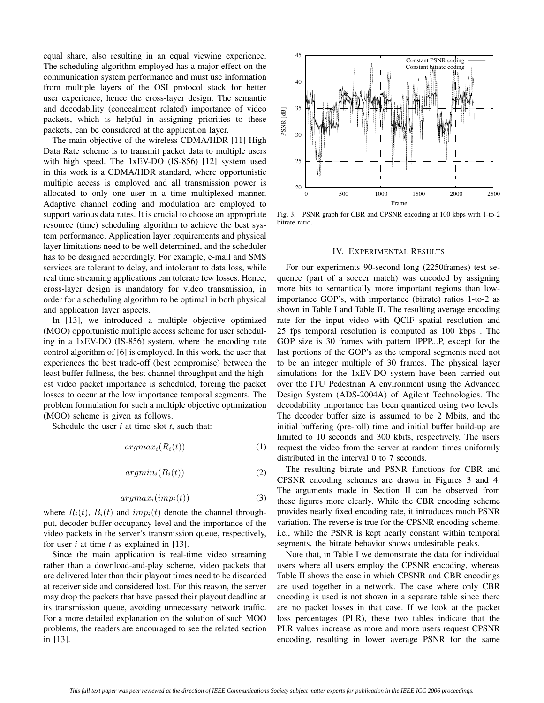equal share, also resulting in an equal viewing experience. The scheduling algorithm employed has a major effect on the communication system performance and must use information from multiple layers of the OSI protocol stack for better user experience, hence the cross-layer design. The semantic and decodability (concealment related) importance of video packets, which is helpful in assigning priorities to these packets, can be considered at the application layer.

The main objective of the wireless CDMA/HDR [11] High Data Rate scheme is to transmit packet data to multiple users with high speed. The 1xEV-DO (IS-856) [12] system used in this work is a CDMA/HDR standard, where opportunistic multiple access is employed and all transmission power is allocated to only one user in a time multiplexed manner. Adaptive channel coding and modulation are employed to support various data rates. It is crucial to choose an appropriate resource (time) scheduling algorithm to achieve the best system performance. Application layer requirements and physical layer limitations need to be well determined, and the scheduler has to be designed accordingly. For example, e-mail and SMS services are tolerant to delay, and intolerant to data loss, while real time streaming applications can tolerate few losses. Hence, cross-layer design is mandatory for video transmission, in order for a scheduling algorithm to be optimal in both physical and application layer aspects.

In [13], we introduced a multiple objective optimized (MOO) opportunistic multiple access scheme for user scheduling in a 1xEV-DO (IS-856) system, where the encoding rate control algorithm of [6] is employed. In this work, the user that experiences the best trade-off (best compromise) between the least buffer fullness, the best channel throughput and the highest video packet importance is scheduled, forcing the packet losses to occur at the low importance temporal segments. The problem formulation for such a multiple objective optimization (MOO) scheme is given as follows.

Schedule the user *i* at time slot *t*, such that:

$$
argmax_{i}(R_{i}(t))
$$
\n(1)

$$
argmin_i(B_i(t))\tag{2}
$$

$$
argmax_i (imp_i(t)) \tag{3}
$$

where  $R_i(t)$ ,  $B_i(t)$  and  $imp_i(t)$  denote the channel throughput, decoder buffer occupancy level and the importance of the video packets in the server's transmission queue, respectively, for user *i* at time *t* as explained in [13].

Since the main application is real-time video streaming rather than a download-and-play scheme, video packets that are delivered later than their playout times need to be discarded at receiver side and considered lost. For this reason, the server may drop the packets that have passed their playout deadline at its transmission queue, avoiding unnecessary network traffic. For a more detailed explanation on the solution of such MOO problems, the readers are encouraged to see the related section in [13].



Fig. 3. PSNR graph for CBR and CPSNR encoding at 100 kbps with 1-to-2 bitrate ratio.

#### IV. EXPERIMENTAL RESULTS

For our experiments 90-second long (2250frames) test sequence (part of a soccer match) was encoded by assigning more bits to semantically more important regions than lowimportance GOP's, with importance (bitrate) ratios 1-to-2 as shown in Table I and Table II. The resulting average encoding rate for the input video with QCIF spatial resolution and 25 fps temporal resolution is computed as 100 kbps . The GOP size is 30 frames with pattern IPPP...P, except for the last portions of the GOP's as the temporal segments need not to be an integer multiple of 30 frames. The physical layer simulations for the 1xEV-DO system have been carried out over the ITU Pedestrian A environment using the Advanced Design System (ADS-2004A) of Agilent Technologies. The decodability importance has been quantized using two levels. The decoder buffer size is assumed to be 2 Mbits, and the initial buffering (pre-roll) time and initial buffer build-up are limited to 10 seconds and 300 kbits, respectively. The users request the video from the server at random times uniformly distributed in the interval 0 to 7 seconds.

The resulting bitrate and PSNR functions for CBR and CPSNR encoding schemes are drawn in Figures 3 and 4. The arguments made in Section II can be observed from these figures more clearly. While the CBR encoding scheme provides nearly fixed encoding rate, it introduces much PSNR variation. The reverse is true for the CPSNR encoding scheme, i.e., while the PSNR is kept nearly constant within temporal segments, the bitrate behavior shows undesirable peaks.

Note that, in Table I we demonstrate the data for individual users where all users employ the CPSNR encoding, whereas Table II shows the case in which CPSNR and CBR encodings are used together in a network. The case where only CBR encoding is used is not shown in a separate table since there are no packet losses in that case. If we look at the packet loss percentages (PLR), these two tables indicate that the PLR values increase as more and more users request CPSNR encoding, resulting in lower average PSNR for the same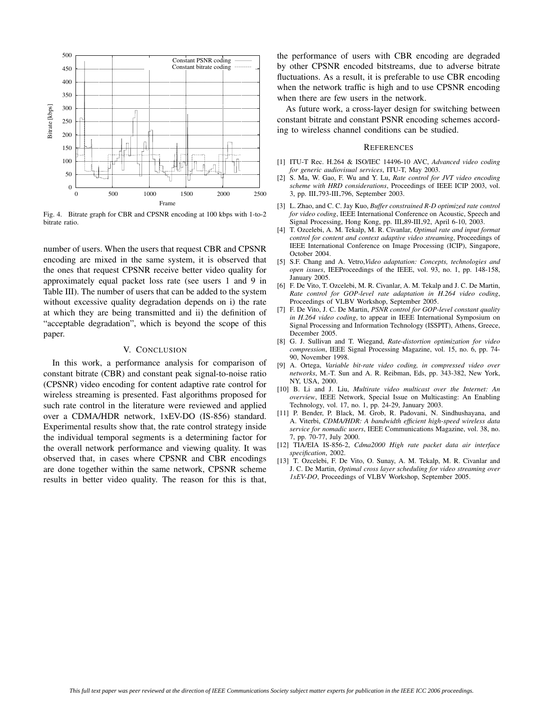

Fig. 4. Bitrate graph for CBR and CPSNR encoding at 100 kbps with 1-to-2 bitrate ratio.

number of users. When the users that request CBR and CPSNR encoding are mixed in the same system, it is observed that the ones that request CPSNR receive better video quality for approximately equal packet loss rate (see users 1 and 9 in Table III). The number of users that can be added to the system without excessive quality degradation depends on i) the rate at which they are being transmitted and ii) the definition of "acceptable degradation", which is beyond the scope of this paper.

### V. CONCLUSION

In this work, a performance analysis for comparison of constant bitrate (CBR) and constant peak signal-to-noise ratio (CPSNR) video encoding for content adaptive rate control for wireless streaming is presented. Fast algorithms proposed for such rate control in the literature were reviewed and applied over a CDMA/HDR network, 1xEV-DO (IS-856) standard. Experimental results show that, the rate control strategy inside the individual temporal segments is a determining factor for the overall network performance and viewing quality. It was observed that, in cases where CPSNR and CBR encodings are done together within the same network, CPSNR scheme results in better video quality. The reason for this is that,

the performance of users with CBR encoding are degraded by other CPSNR encoded bitstreams, due to adverse bitrate fluctuations. As a result, it is preferable to use CBR encoding when the network traffic is high and to use CPSNR encoding when there are few users in the network.

As future work, a cross-layer design for switching between constant bitrate and constant PSNR encoding schemes according to wireless channel conditions can be studied.

#### **REFERENCES**

- [1] ITU-T Rec. H.264 & ISO/IEC 14496-10 AVC, *Advanced video coding for generic audiovisual services*, ITU-T, May 2003.
- [2] S. Ma, W. Gao, F. Wu and Y. Lu, *Rate control for JVT video encoding scheme with HRD considerations*, Proceedings of IEEE ICIP 2003, vol. 3, pp. III 793-III 796, September 2003.
- [3] L. Zhao, and C. C. Jay Kuo, *Buffer constrained R-D optimized rate control for video coding*, IEEE International Conference on Acoustic, Speech and Signal Processing, Hong Kong, pp. III 89-III 92, April 6-10, 2003.
- [4] T. Ozcelebi, A. M. Tekalp, M. R. Civanlar, *Optimal rate and input format control for content and context adaptive video streaming*, Proceedings of IEEE International Conference on Image Processing (ICIP), Singapore, October 2004.
- [5] S.F. Chang and A. Vetro,*Video adaptation: Concepts, technologies and open issues*, IEEProceedings of the IEEE, vol. 93, no. 1, pp. 148-158, January 2005.
- [6] F. De Vito, T. Ozcelebi, M. R. Civanlar, A. M. Tekalp and J. C. De Martin, *Rate control for GOP-level rate adaptation in H.264 video coding*, Proceedings of VLBV Workshop, September 2005.
- [7] F. De Vito, J. C. De Martin, *PSNR control for GOP-level constant quality in H.264 video coding*, to appear in IEEE International Symposium on Signal Processing and Information Technology (ISSPIT), Athens, Greece, December 2005.
- [8] G. J. Sullivan and T. Wiegand, *Rate-distortion optimization for video compression*, IEEE Signal Processing Magazine, vol. 15, no. 6, pp. 74- 90, November 1998.
- [9] A. Ortega, *Variable bit-rate video coding, in compressed video over networks*, M.-T. Sun and A. R. Reibman, Eds, pp. 343-382, New York, NY, USA, 2000.
- [10] B. Li and J. Liu, *Multirate video multicast over the Internet: An overview*, IEEE Network, Special Issue on Multicasting: An Enabling Technology, vol. 17, no. 1, pp. 24-29, January 2003.
- [11] P. Bender, P. Black, M. Grob, R. Padovani, N. Sindhushayana, and A. Viterbi, *CDMA/HDR: A bandwidth efficient high-speed wireless data service for nomadic users*, IEEE Communications Magazine, vol. 38, no. 7, pp. 70-77, July 2000.
- [12] TIA/EIA IS-856-2, *Cdma2000 High rate packet data air interface specification*, 2002.
- [13] T. Ozcelebi, F. De Vito, O. Sunay, A. M. Tekalp, M. R. Civanlar and J. C. De Martin, *Optimal cross layer scheduling for video streaming over 1xEV-DO*, Proceedings of VLBV Workshop, September 2005.